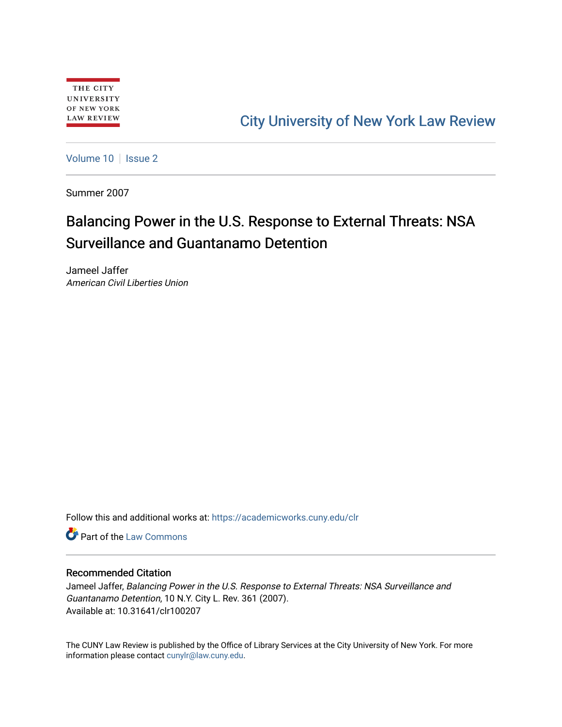## [City University of New York Law Review](https://academicworks.cuny.edu/clr)

[Volume 10](https://academicworks.cuny.edu/clr/vol10) | [Issue 2](https://academicworks.cuny.edu/clr/vol10/iss2)

Summer 2007

# Balancing Power in the U.S. Response to External Threats: NSA Surveillance and Guantanamo Detention

Jameel Jaffer American Civil Liberties Union

Follow this and additional works at: [https://academicworks.cuny.edu/clr](https://academicworks.cuny.edu/clr?utm_source=academicworks.cuny.edu%2Fclr%2Fvol10%2Fiss2%2F8&utm_medium=PDF&utm_campaign=PDFCoverPages) 

**C** Part of the [Law Commons](http://network.bepress.com/hgg/discipline/578?utm_source=academicworks.cuny.edu%2Fclr%2Fvol10%2Fiss2%2F8&utm_medium=PDF&utm_campaign=PDFCoverPages)

#### Recommended Citation

Jameel Jaffer, Balancing Power in the U.S. Response to External Threats: NSA Surveillance and Guantanamo Detention, 10 N.Y. City L. Rev. 361 (2007). Available at: 10.31641/clr100207

The CUNY Law Review is published by the Office of Library Services at the City University of New York. For more information please contact [cunylr@law.cuny.edu](mailto:cunylr@law.cuny.edu).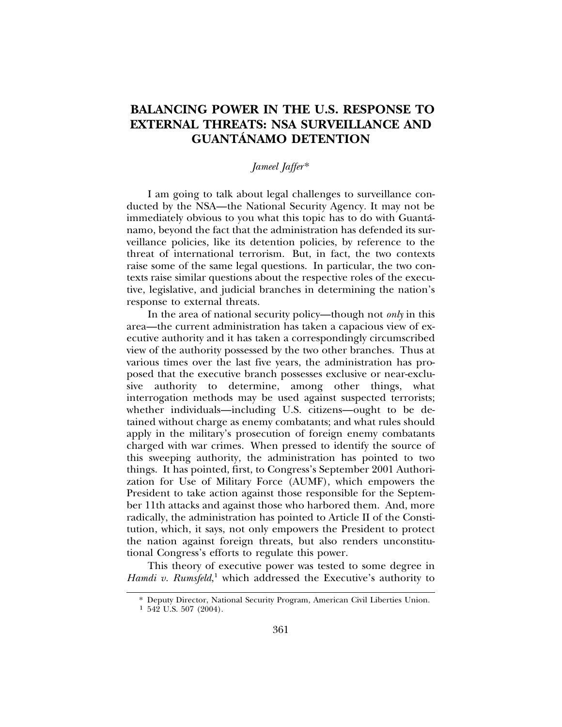### **BALANCING POWER IN THE U.S. RESPONSE TO EXTERNAL THREATS: NSA SURVEILLANCE AND GUANTANAMO DETENTION ´**

#### *Jameel Jaffer*\*

I am going to talk about legal challenges to surveillance conducted by the NSA—the National Security Agency. It may not be immediately obvious to you what this topic has to do with Guanta-´ namo, beyond the fact that the administration has defended its surveillance policies, like its detention policies, by reference to the threat of international terrorism. But, in fact, the two contexts raise some of the same legal questions. In particular, the two contexts raise similar questions about the respective roles of the executive, legislative, and judicial branches in determining the nation's response to external threats.

In the area of national security policy—though not *only* in this area—the current administration has taken a capacious view of executive authority and it has taken a correspondingly circumscribed view of the authority possessed by the two other branches. Thus at various times over the last five years, the administration has proposed that the executive branch possesses exclusive or near-exclusive authority to determine, among other things, what interrogation methods may be used against suspected terrorists; whether individuals—including U.S. citizens—ought to be detained without charge as enemy combatants; and what rules should apply in the military's prosecution of foreign enemy combatants charged with war crimes. When pressed to identify the source of this sweeping authority, the administration has pointed to two things. It has pointed, first, to Congress's September 2001 Authorization for Use of Military Force (AUMF), which empowers the President to take action against those responsible for the September 11th attacks and against those who harbored them. And, more radically, the administration has pointed to Article II of the Constitution, which, it says, not only empowers the President to protect the nation against foreign threats, but also renders unconstitutional Congress's efforts to regulate this power.

This theory of executive power was tested to some degree in Hamdi v. Rumsfeld,<sup>1</sup> which addressed the Executive's authority to

<sup>\*</sup> Deputy Director, National Security Program, American Civil Liberties Union.

<sup>1</sup> 542 U.S. 507 (2004).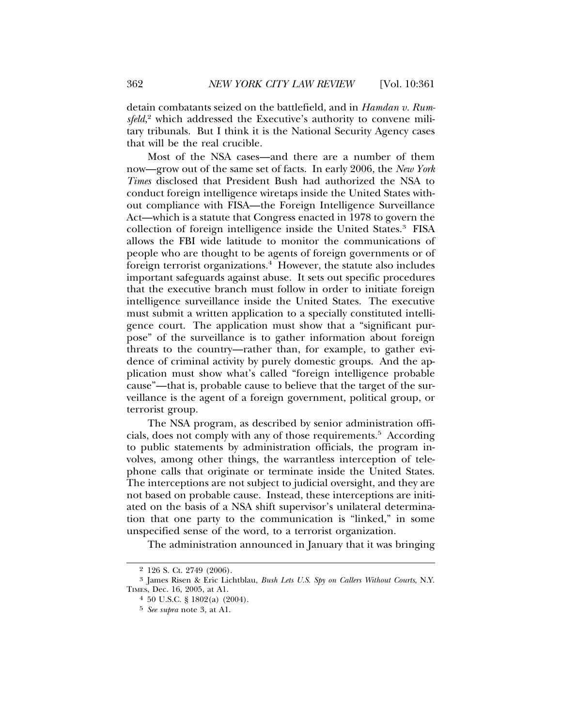detain combatants seized on the battlefield, and in *Hamdan v. Rum*sfeld,<sup>2</sup> which addressed the Executive's authority to convene military tribunals. But I think it is the National Security Agency cases that will be the real crucible.

Most of the NSA cases—and there are a number of them now—grow out of the same set of facts. In early 2006, the *New York Times* disclosed that President Bush had authorized the NSA to conduct foreign intelligence wiretaps inside the United States without compliance with FISA—the Foreign Intelligence Surveillance Act—which is a statute that Congress enacted in 1978 to govern the collection of foreign intelligence inside the United States.<sup>3</sup> FISA allows the FBI wide latitude to monitor the communications of people who are thought to be agents of foreign governments or of foreign terrorist organizations.<sup>4</sup> However, the statute also includes important safeguards against abuse. It sets out specific procedures that the executive branch must follow in order to initiate foreign intelligence surveillance inside the United States. The executive must submit a written application to a specially constituted intelligence court. The application must show that a "significant purpose" of the surveillance is to gather information about foreign threats to the country—rather than, for example, to gather evidence of criminal activity by purely domestic groups. And the application must show what's called "foreign intelligence probable cause"—that is, probable cause to believe that the target of the surveillance is the agent of a foreign government, political group, or terrorist group.

The NSA program, as described by senior administration officials, does not comply with any of those requirements.<sup>5</sup> According to public statements by administration officials, the program involves, among other things, the warrantless interception of telephone calls that originate or terminate inside the United States. The interceptions are not subject to judicial oversight, and they are not based on probable cause. Instead, these interceptions are initiated on the basis of a NSA shift supervisor's unilateral determination that one party to the communication is "linked," in some unspecified sense of the word, to a terrorist organization.

The administration announced in January that it was bringing

<sup>2</sup> 126 S. Ct. 2749 (2006).

<sup>3</sup> James Risen & Eric Lichtblau, *Bush Lets U.S. Spy on Callers Without Courts*, N.Y. TIMES, Dec. 16, 2005, at A1.

<sup>4</sup> 50 U.S.C. § 1802(a) (2004).

<sup>5</sup> *See supra* note 3, at A1.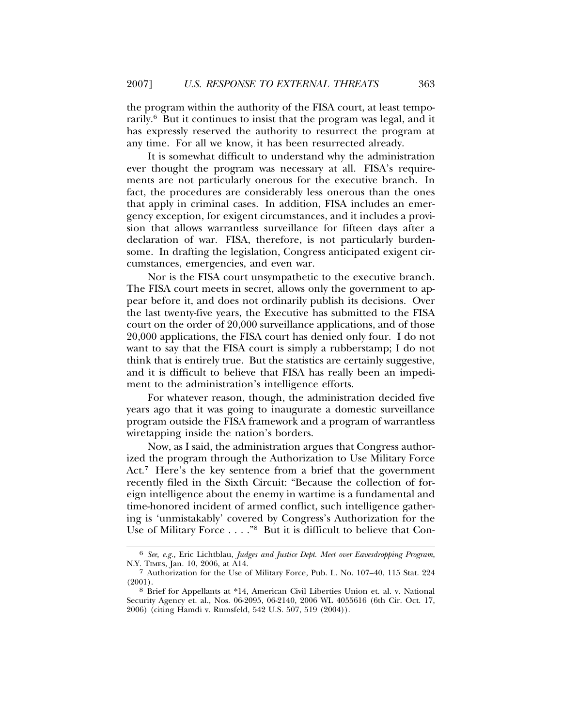the program within the authority of the FISA court, at least temporarily.<sup>6</sup> But it continues to insist that the program was legal, and it has expressly reserved the authority to resurrect the program at any time. For all we know, it has been resurrected already.

It is somewhat difficult to understand why the administration ever thought the program was necessary at all. FISA's requirements are not particularly onerous for the executive branch. In fact, the procedures are considerably less onerous than the ones that apply in criminal cases. In addition, FISA includes an emergency exception, for exigent circumstances, and it includes a provision that allows warrantless surveillance for fifteen days after a declaration of war. FISA, therefore, is not particularly burdensome. In drafting the legislation, Congress anticipated exigent circumstances, emergencies, and even war.

Nor is the FISA court unsympathetic to the executive branch. The FISA court meets in secret, allows only the government to appear before it, and does not ordinarily publish its decisions. Over the last twenty-five years, the Executive has submitted to the FISA court on the order of 20,000 surveillance applications, and of those 20,000 applications, the FISA court has denied only four. I do not want to say that the FISA court is simply a rubberstamp; I do not think that is entirely true. But the statistics are certainly suggestive, and it is difficult to believe that FISA has really been an impediment to the administration's intelligence efforts.

For whatever reason, though, the administration decided five years ago that it was going to inaugurate a domestic surveillance program outside the FISA framework and a program of warrantless wiretapping inside the nation's borders.

Now, as I said, the administration argues that Congress authorized the program through the Authorization to Use Military Force Act.<sup>7</sup> Here's the key sentence from a brief that the government recently filed in the Sixth Circuit: "Because the collection of foreign intelligence about the enemy in wartime is a fundamental and time-honored incident of armed conflict, such intelligence gathering is 'unmistakably' covered by Congress's Authorization for the Use of Military Force . . . ."8 But it is difficult to believe that Con-

<sup>6</sup> *See, e.g.,* Eric Lichtblau, *Judges and Justice Dept. Meet over Eavesdropping Program*, N.Y. TIMES, Jan. 10, 2006, at A14.

<sup>7</sup> Authorization for the Use of Military Force, Pub. L. No. 107–40, 115 Stat. 224

<sup>&</sup>lt;sup>8</sup> Brief for Appellants at \*14, American Civil Liberties Union et. al. v. National Security Agency et. al., Nos. 06-2095, 06-2140, 2006 WL 4055616 (6th Cir. Oct. 17, 2006) (citing Hamdi v. Rumsfeld, 542 U.S. 507, 519 (2004)).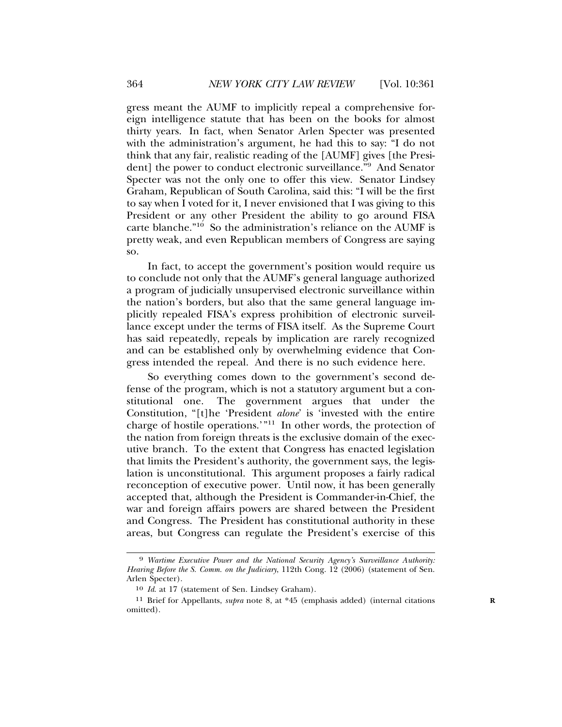gress meant the AUMF to implicitly repeal a comprehensive foreign intelligence statute that has been on the books for almost thirty years. In fact, when Senator Arlen Specter was presented with the administration's argument, he had this to say: "I do not think that any fair, realistic reading of the [AUMF] gives [the President] the power to conduct electronic surveillance."9 And Senator Specter was not the only one to offer this view. Senator Lindsey Graham, Republican of South Carolina, said this: "I will be the first to say when I voted for it, I never envisioned that I was giving to this President or any other President the ability to go around FISA carte blanche." $10^{\circ}$  So the administration's reliance on the AUMF is pretty weak, and even Republican members of Congress are saying so.

In fact, to accept the government's position would require us to conclude not only that the AUMF's general language authorized a program of judicially unsupervised electronic surveillance within the nation's borders, but also that the same general language implicitly repealed FISA's express prohibition of electronic surveillance except under the terms of FISA itself. As the Supreme Court has said repeatedly, repeals by implication are rarely recognized and can be established only by overwhelming evidence that Congress intended the repeal. And there is no such evidence here.

So everything comes down to the government's second defense of the program, which is not a statutory argument but a constitutional one. The government argues that under the Constitution, "[t]he 'President *alone*' is 'invested with the entire charge of hostile operations.'"11 In other words, the protection of the nation from foreign threats is the exclusive domain of the executive branch. To the extent that Congress has enacted legislation that limits the President's authority, the government says, the legislation is unconstitutional. This argument proposes a fairly radical reconception of executive power. Until now, it has been generally accepted that, although the President is Commander-in-Chief, the war and foreign affairs powers are shared between the President and Congress. The President has constitutional authority in these areas, but Congress can regulate the President's exercise of this

<sup>9</sup> *Wartime Executive Power and the National Security Agency's Surveillance Authority: Hearing Before the S. Comm. on the Judiciary*, 112th Cong. 12 (2006) (statement of Sen. Arlen Specter).

<sup>10</sup> *Id*. at 17 (statement of Sen. Lindsey Graham).

<sup>11</sup> Brief for Appellants, *supra* note 8, at \*45 (emphasis added) (internal citations **R** omitted).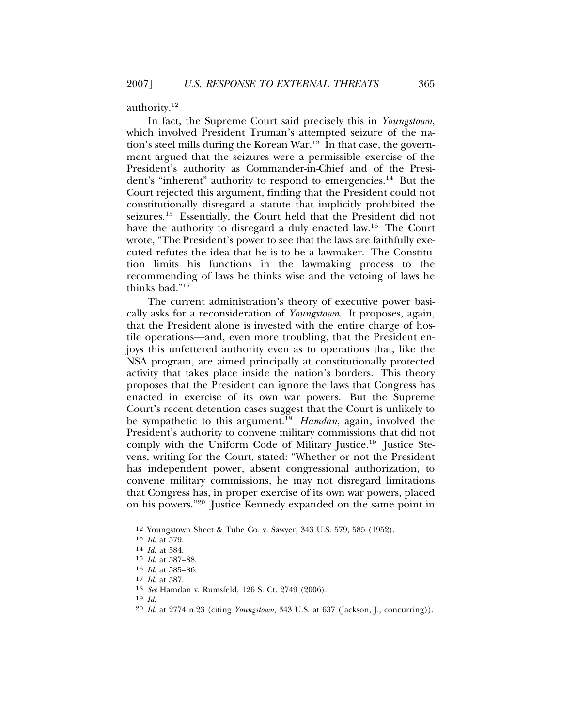authority.12

In fact, the Supreme Court said precisely this in *Youngstown*, which involved President Truman's attempted seizure of the nation's steel mills during the Korean War.13 In that case, the government argued that the seizures were a permissible exercise of the President's authority as Commander-in-Chief and of the President's "inherent" authority to respond to emergencies.14 But the Court rejected this argument, finding that the President could not constitutionally disregard a statute that implicitly prohibited the seizures.15 Essentially, the Court held that the President did not have the authority to disregard a duly enacted law.<sup>16</sup> The Court wrote, "The President's power to see that the laws are faithfully executed refutes the idea that he is to be a lawmaker. The Constitution limits his functions in the lawmaking process to the recommending of laws he thinks wise and the vetoing of laws he thinks bad."17

The current administration's theory of executive power basically asks for a reconsideration of *Youngstown*. It proposes, again, that the President alone is invested with the entire charge of hostile operations—and, even more troubling, that the President enjoys this unfettered authority even as to operations that, like the NSA program, are aimed principally at constitutionally protected activity that takes place inside the nation's borders. This theory proposes that the President can ignore the laws that Congress has enacted in exercise of its own war powers. But the Supreme Court's recent detention cases suggest that the Court is unlikely to be sympathetic to this argument.18 *Hamdan*, again, involved the President's authority to convene military commissions that did not comply with the Uniform Code of Military Justice.<sup>19</sup> Justice Stevens, writing for the Court, stated: "Whether or not the President has independent power, absent congressional authorization, to convene military commissions, he may not disregard limitations that Congress has, in proper exercise of its own war powers, placed on his powers."20 Justice Kennedy expanded on the same point in

<sup>12</sup> Youngstown Sheet & Tube Co. v. Sawyer, 343 U.S. 579, 585 (1952).

<sup>13</sup> *Id.* at 579.

<sup>14</sup> *Id.* at 584.

<sup>15</sup> *Id.* at 587–88.

<sup>16</sup> *Id.* at 585–86.

<sup>17</sup> *Id.* at 587.

<sup>18</sup> *See* Hamdan v. Rumsfeld, 126 S. Ct. 2749 (2006).

<sup>19</sup> *Id.*

<sup>20</sup> *Id.* at 2774 n.23 (citing *Youngstown*, 343 U.S. at 637 (Jackson, J., concurring)).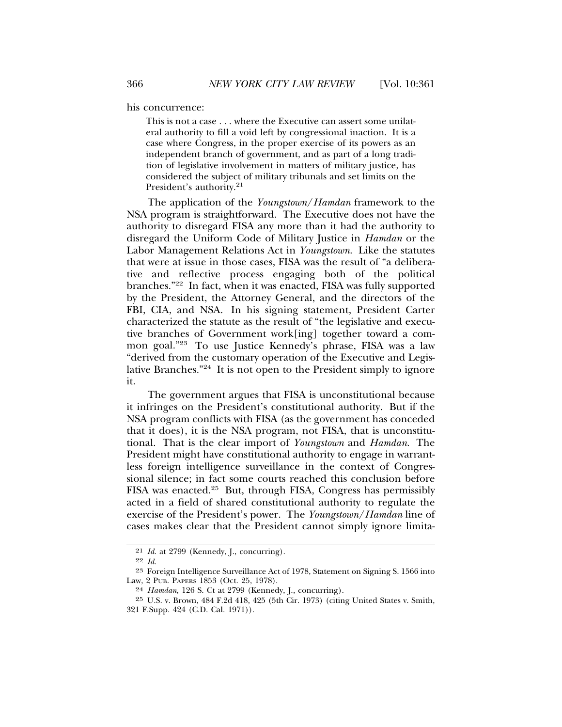his concurrence:

This is not a case . . . where the Executive can assert some unilateral authority to fill a void left by congressional inaction. It is a case where Congress, in the proper exercise of its powers as an independent branch of government, and as part of a long tradition of legislative involvement in matters of military justice, has considered the subject of military tribunals and set limits on the President's authority.<sup>21</sup>

The application of the *Youngstown*/*Hamdan* framework to the NSA program is straightforward. The Executive does not have the authority to disregard FISA any more than it had the authority to disregard the Uniform Code of Military Justice in *Hamdan* or the Labor Management Relations Act in *Youngstown*. Like the statutes that were at issue in those cases, FISA was the result of "a deliberative and reflective process engaging both of the political branches."22 In fact, when it was enacted, FISA was fully supported by the President, the Attorney General, and the directors of the FBI, CIA, and NSA. In his signing statement, President Carter characterized the statute as the result of "the legislative and executive branches of Government work[ing] together toward a common goal."23 To use Justice Kennedy's phrase, FISA was a law "derived from the customary operation of the Executive and Legislative Branches."24 It is not open to the President simply to ignore it.

The government argues that FISA is unconstitutional because it infringes on the President's constitutional authority. But if the NSA program conflicts with FISA (as the government has conceded that it does), it is the NSA program, not FISA, that is unconstitutional. That is the clear import of *Youngstown* and *Hamdan*. The President might have constitutional authority to engage in warrantless foreign intelligence surveillance in the context of Congressional silence; in fact some courts reached this conclusion before FISA was enacted.25 But, through FISA, Congress has permissibly acted in a field of shared constitutional authority to regulate the exercise of the President's power. The *Youngstown*/*Hamdan* line of cases makes clear that the President cannot simply ignore limita-

<sup>21</sup> *Id.* at 2799 (Kennedy, J., concurring).

<sup>22</sup> *Id.*

<sup>23</sup> Foreign Intelligence Surveillance Act of 1978, Statement on Signing S. 1566 into Law, 2 PUB. PAPERS 1853 (Oct. 25, 1978).

<sup>24</sup> *Hamdan*, 126 S. Ct at 2799 (Kennedy, J., concurring).

<sup>25</sup> U.S. v. Brown, 484 F.2d 418, 425 (5th Cir. 1973) (citing United States v. Smith, 321 F.Supp. 424 (C.D. Cal. 1971)).